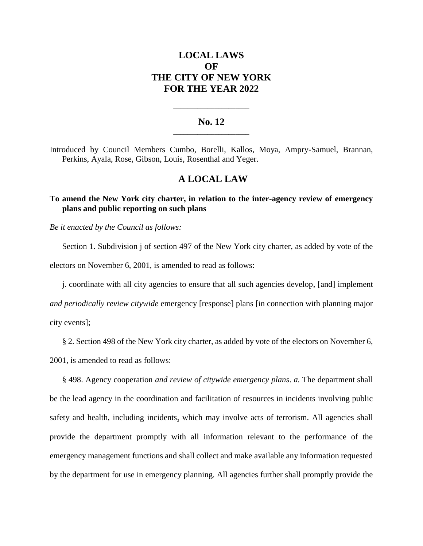# **LOCAL LAWS OF THE CITY OF NEW YORK FOR THE YEAR 2022**

## **No. 12 \_\_\_\_\_\_\_\_\_\_\_\_\_\_\_\_\_\_\_\_\_\_**

**\_\_\_\_\_\_\_\_\_\_\_\_\_\_\_\_\_\_\_\_\_\_**

Introduced by Council Members Cumbo, Borelli, Kallos, Moya, Ampry-Samuel, Brannan, Perkins, Ayala, Rose, Gibson, Louis, Rosenthal and Yeger.

## **A LOCAL LAW**

## **To amend the New York city charter, in relation to the inter-agency review of emergency plans and public reporting on such plans**

*Be it enacted by the Council as follows:*

Section 1. Subdivision j of section 497 of the New York city charter, as added by vote of the electors on November 6, 2001, is amended to read as follows:

j. coordinate with all city agencies to ensure that all such agencies develop, [and] implement *and periodically review citywide* emergency [response] plans [in connection with planning major city events];

§ 2. Section 498 of the New York city charter, as added by vote of the electors on November 6,

2001, is amended to read as follows:

§ 498. Agency cooperation *and review of citywide emergency plans*. *a.* The department shall be the lead agency in the coordination and facilitation of resources in incidents involving public safety and health, including incidents, which may involve acts of terrorism. All agencies shall provide the department promptly with all information relevant to the performance of the emergency management functions and shall collect and make available any information requested by the department for use in emergency planning. All agencies further shall promptly provide the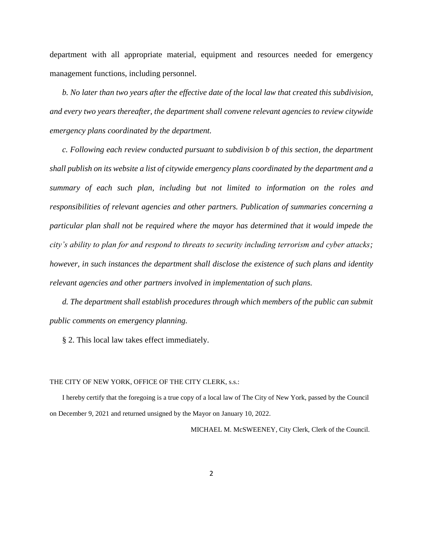department with all appropriate material, equipment and resources needed for emergency management functions, including personnel.

*b. No later than two years after the effective date of the local law that created this subdivision, and every two years thereafter, the department shall convene relevant agencies to review citywide emergency plans coordinated by the department.* 

*c. Following each review conducted pursuant to subdivision b of this section, the department shall publish on its website a list of citywide emergency plans coordinated by the department and a summary of each such plan, including but not limited to information on the roles and responsibilities of relevant agencies and other partners. Publication of summaries concerning a particular plan shall not be required where the mayor has determined that it would impede the city's ability to plan for and respond to threats to security including terrorism and cyber attacks; however, in such instances the department shall disclose the existence of such plans and identity relevant agencies and other partners involved in implementation of such plans.*

*d. The department shall establish procedures through which members of the public can submit public comments on emergency planning.*

§ 2. This local law takes effect immediately.

#### THE CITY OF NEW YORK, OFFICE OF THE CITY CLERK, s.s.:

I hereby certify that the foregoing is a true copy of a local law of The City of New York, passed by the Council on December 9, 2021 and returned unsigned by the Mayor on January 10, 2022.

MICHAEL M. McSWEENEY, City Clerk, Clerk of the Council.